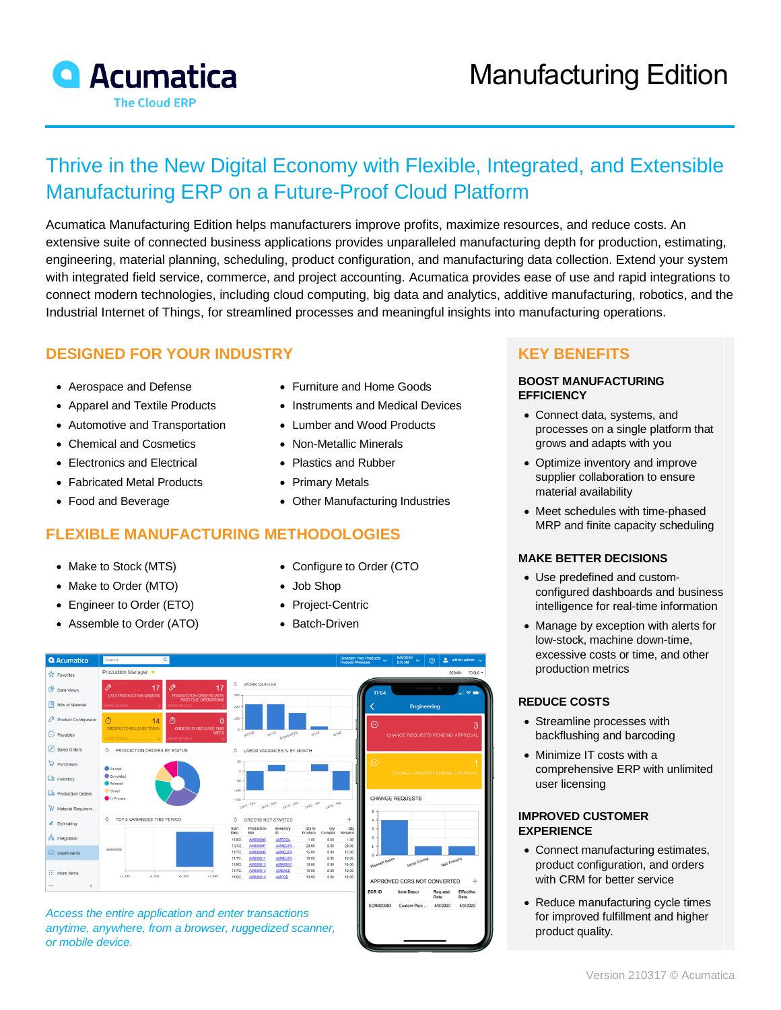

# Thrive in the New Digital Economy with Flexible, Integrated, and Extensible Manufacturing ERP on a Future-Proof Cloud Platform

Acumatica Manufacturing Edition helps manufacturers improve profits, maximize resources, and reduce costs. An extensive suite of connected business applications provides unparalleled manufacturing depth for production, estimating, engineering, material planning, scheduling, product configuration, and manufacturing data collection. Extend your system with integrated field service, commerce, and project accounting. Acumatica provides ease of use and rapid integrations to connect modern technologies, including cloud computing, big data and analytics, additive manufacturing, robotics, and the Industrial Internet of Things, for streamlined processes and meaningful insights into manufacturing operations.

# **DESIGNED FOR YOUR INDUSTRY**

- Aerospace and Defense
- Apparel and Textile Products
- Automotive and Transportation
- Chemical and Cosmetics
- Electronics and Electrical
- Fabricated Metal Products
- Food and Beverage

### **FLEXIBLE MANUFACTURING METHODOLOGIES**

- Make to Stock (MTS)
- Make to Order (MTO)
- Engineer to Order (ETO)
- Assemble to Order (ATO)
- Furniture and Home Goods
- Instruments and Medical Devices
- Lumber and Wood Products
- Non-Metallic Minerals
- Plastics and Rubber
- Primary Metals
- Other Manufacturing Industries
- Configure to Order (CTO
	- Job Shop
	- Project-Centric
	- Batch-Driven



*Access the entire application and enter transactions anytime, anywhere, from a browser, ruggedized scanner, or mobile device.*

# **KEY BENEFITS**

#### **BOOST MANUFACTURING EFFICIENCY**

- Connect data, systems, and processes on a single platform that grows and adapts with you
- Optimize inventory and improve supplier collaboration to ensure material availability
- Meet schedules with time-phased MRP and finite capacity scheduling

#### **MAKE BETTER DECISIONS**

- Use predefined and customconfigured dashboards and business intelligence for real-time information
- Manage by exception with alerts for low-stock, machine down-time, excessive costs or time, and other production metrics

#### **REDUCE COSTS**

- Streamline processes with backflushing and barcoding
- Minimize IT costs with a comprehensive ERP with unlimited user licensing

#### **IMPROVED CUSTOMER EXPERIENCE**

- Connect manufacturing estimates, product configuration, and orders with CRM for better service
- Reduce manufacturing cycle times for improved fulfillment and higher product quality.